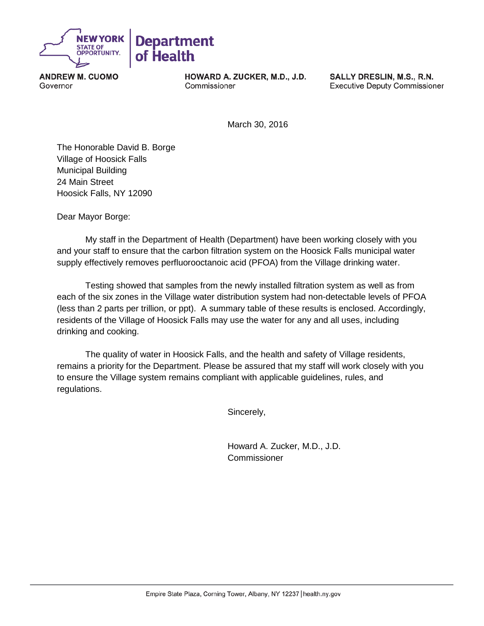

**ANDREW M. CUOMO** Governor

HOWARD A. ZUCKER, M.D., J.D. Commissioner

SALLY DRESLIN, M.S., R.N. **Executive Deputy Commissioner** 

March 30, 2016

The Honorable David B. Borge Village of Hoosick Falls Municipal Building 24 Main Street Hoosick Falls, NY 12090

Dear Mayor Borge:

My staff in the Department of Health (Department) have been working closely with you and your staff to ensure that the carbon filtration system on the Hoosick Falls municipal water supply effectively removes perfluorooctanoic acid (PFOA) from the Village drinking water.

Testing showed that samples from the newly installed filtration system as well as from each of the six zones in the Village water distribution system had non-detectable levels of PFOA (less than 2 parts per trillion, or ppt). A summary table of these results is enclosed. Accordingly, residents of the Village of Hoosick Falls may use the water for any and all uses, including drinking and cooking.

The quality of water in Hoosick Falls, and the health and safety of Village residents, remains a priority for the Department. Please be assured that my staff will work closely with you to ensure the Village system remains compliant with applicable guidelines, rules, and regulations.

Sincerely,

Howard A. Zucker, M.D., J.D. **Commissioner**